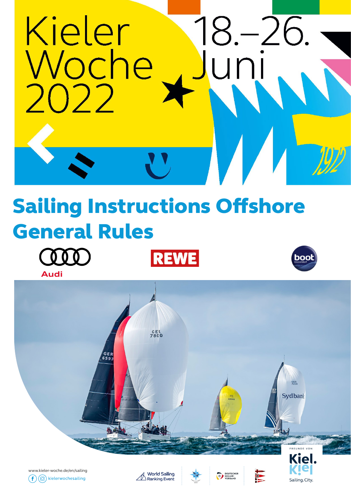

## Sailing Instructions Offshore General Rules

**REWE** 













 $\frac{1}{2}$ 

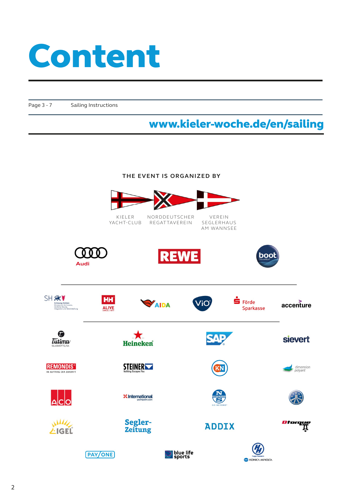# Content

Page 3 - 7 Sailing Instructions

#### www.kieler-woche.de/en/sailing

#### **THE EVENT IS ORGANIZED BY**

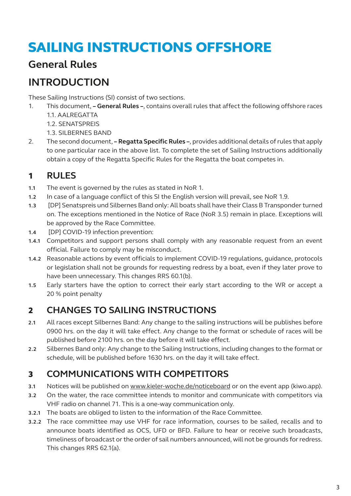### SAILING INSTRUCTIONS OFFSHORE

#### **General Rules**

#### **INTRODUCTION**

These Sailing Instructions (SI) consist of two sections.

- 1. This document,  **General Rules –**, contains overall rules that affect the following offshore races 1.1. AALREGATTA
	- 1.2. SENATSPREIS
	- 1.3. SILBERNES BAND
- 2. The second document,  **Regatta Specific Rules –**, provides additional details of rules that apply to one particular race in the above list. To complete the set of Sailing Instructions additionally obtain a copy of the Regatta Specific Rules for the Regatta the boat competes in.

#### 1 **RULES**

- **1.1** The event is governed by the rules as stated in NoR 1.
- **1.2** In case of a language conflict of this SI the English version will prevail, see NoR 1.9.
- **1.3** [DP] Senatspreis und Silbernes Band only: All boats shall have their Class B Transponder turned on. The exceptions mentioned in the Notice of Race (NoR 3.5) remain in place. Exceptions will be approved by the Race Committee.
- **1.4** [DP] COVID-19 infection prevention:
- **1.4.1** Competitors and support persons shall comply with any reasonable request from an event official. Failure to comply may be misconduct.
- **1.4.2** Reasonable actions by event officials to implement COVID-19 regulations, guidance, protocols or legislation shall not be grounds for requesting redress by a boat, even if they later prove to have been unnecessary. This changes RRS 60.1(b).
- **1.5** Early starters have the option to correct their early start according to the WR or accept a 20 % point penalty

#### 2 **CHANGES TO SAILING INSTRUCTIONS**

- **2.1** All races except Silbernes Band: Any change to the sailing instructions will be publishes before 0900 hrs. on the day it will take effect. Any change to the format or schedule of races will be published before 2100 hrs. on the day before it will take effect.
- **2.2** Silbernes Band only: Any change to the Sailing Instructions, including changes to the format or schedule, will be published before 1630 hrs. on the day it will take effect.

#### 3 **COMMUNICATIONS WITH COMPETITORS**

- **3.1** Notices will be published on www.kieler-woche.de/noticeboard or on the event app (kiwo.app).
- **3.2** On the water, the race committee intends to monitor and communicate with competitors via VHF radio on channel 71. This is a one-way communication only.
- **3.2.1** The boats are obliged to listen to the information of the Race Committee.
- **3.2.2** The race committee may use VHF for race information, courses to be sailed, recalls and to announce boats identified as OCS, UFD or BFD. Failure to hear or receive such broadcasts, timeliness of broadcast or the order of sail numbers announced, will not be grounds for redress. This changes RRS 62.1(a).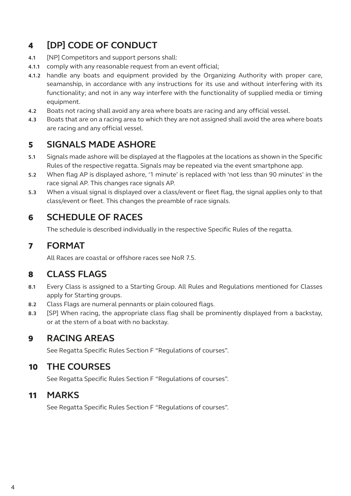#### 4 **[DP] CODE OF CONDUCT**

- **4.1** [NP] Competitors and support persons shall:
- **4.1.1** comply with any reasonable request from an event official;
- **4.1.2** handle any boats and equipment provided by the Organizing Authority with proper care, seamanship, in accordance with any instructions for its use and without interfering with its functionality; and not in any way interfere with the functionality of supplied media or timing equipment.
- **4.2** Boats not racing shall avoid any area where boats are racing and any official vessel.
- **4.3** Boats that are on a racing area to which they are not assigned shall avoid the area where boats are racing and any official vessel.

#### 5 **SIGNALS MADE ASHORE**

- **5.1** Signals made ashore will be displayed at the flagpoles at the locations as shown in the Specific Rules of the respective regatta. Signals may be repeated via the event smartphone app.
- **5.2** When flag AP is displayed ashore, '1 minute' is replaced with 'not less than 90 minutes' in the race signal AP. This changes race signals AP.
- **5.3** When a visual signal is displayed over a class/event or fleet flag, the signal applies only to that class/event or fleet. This changes the preamble of race signals.

#### 6 **SCHEDULE OF RACES**

The schedule is described individually in the respective Specific Rules of the regatta.

#### 7 **FORMAT**

All Races are coastal or offshore races see NoR 7.5.

#### 8 **CLASS FLAGS**

- **8.1** Every Class is assigned to a Starting Group. All Rules and Regulations mentioned for Classes apply for Starting groups.
- **8.2** Class Flags are numeral pennants or plain coloured flags.
- **8.3** [SP] When racing, the appropriate class flag shall be prominently displayed from a backstay, or at the stern of a boat with no backstay.

#### 9 **RACING AREAS**

See Regatta Specific Rules Section F "Regulations of courses".

#### 10 **THE COURSES**

See Regatta Specific Rules Section F "Regulations of courses".

#### 11 **MARKS**

See Regatta Specific Rules Section F "Regulations of courses".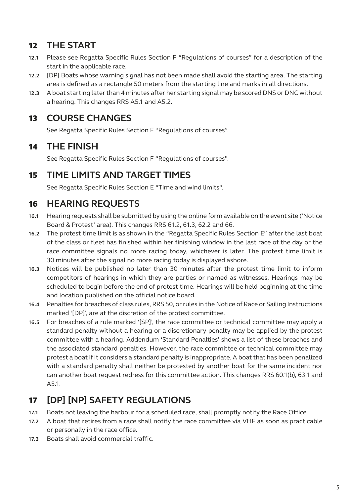#### 12 **THE START**

- **12.1** Please see Regatta Specific Rules Section F "Regulations of courses" for a description of the start in the applicable race.
- **12.2** [DP] Boats whose warning signal has not been made shall avoid the starting area. The starting area is defined as a rectangle 50 meters from the starting line and marks in all directions.
- **12.3** A boat starting later than 4 minutes after her starting signal may be scored DNS or DNC without a hearing. This changes RRS A5.1 and A5.2.

#### 13 **COURSE CHANGES**

See Regatta Specific Rules Section F "Regulations of courses".

#### 14 **THE FINISH**

See Regatta Specific Rules Section F "Regulations of courses".

#### 15 **TIME LIMITS AND TARGET TIMES**

See Regatta Specific Rules Section E "Time and wind limits".

#### 16 **HEARING REQUESTS**

- **16.1** Hearing requests shall be submitted by using the online form available on the event site ('Notice Board & Protest' area). This changes RRS 61.2, 61.3, 62.2 and 66.
- **16.2** The protest time limit is as shown in the "Regatta Specific Rules Section E" after the last boat of the class or fleet has finished within her finishing window in the last race of the day or the race committee signals no more racing today, whichever is later. The protest time limit is 30 minutes after the signal no more racing today is displayed ashore.
- **16.3** Notices will be published no later than 30 minutes after the protest time limit to inform competitors of hearings in which they are parties or named as witnesses. Hearings may be scheduled to begin before the end of protest time. Hearings will be held beginning at the time and location published on the official notice board.
- **16.4** Penalties for breaches of class rules, RRS 50, or rules in the Notice of Race or Sailing Instructions marked '[DP]', are at the discretion of the protest committee.
- **16.5** For breaches of a rule marked '[SP]', the race committee or technical committee may apply a standard penalty without a hearing or a discretionary penalty may be applied by the protest committee with a hearing. Addendum 'Standard Penalties' shows a list of these breaches and the associated standard penalties. However, the race committee or technical committee may protest a boat if it considers a standard penalty is inappropriate. A boat that has been penalized with a standard penalty shall neither be protested by another boat for the same incident nor can another boat request redress for this committee action. This changes RRS 60.1(b), 63.1 and A5.1.

#### 17 **[DP] [NP] SAFETY REGULATIONS**

- **17.1** Boats not leaving the harbour for a scheduled race, shall promptly notify the Race Office.
- **17.2** A boat that retires from a race shall notify the race committee via VHF as soon as practicable or personally in the race office.
- **17.3** Boats shall avoid commercial traffic.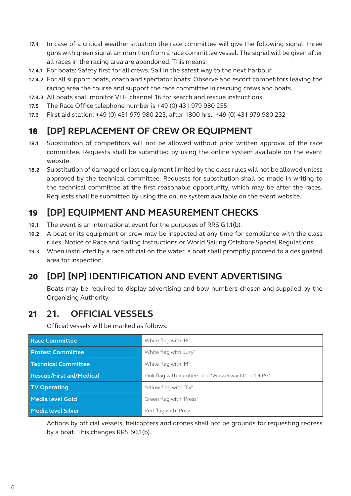- **17.4** In case of a critical weather situation the race committee will give the following signal: three guns with green signal ammunition from a race committee vessel. The signal will be given after all races in the racing area are abandoned. This means:
- **17.4.1** For boats: Safety first for all crews. Sail in the safest way to the next harbour.
- **17.4.2** For all support boats, coach and spectator boats: Observe and escort competitors leaving the racing area the course and support the race committee in rescuing crews and boats.
- **17.4.3** All boats shall monitor VHF channel 16 for search and rescue instructions.
- **17.5** The Race Office telephone number is +49 (0) 431 979 980 255
- **17.6** First aid station: +49 (0) 431 979 980 223, after 1800 hrs.: +49 (0) 431 979 980 232

#### 18 **[DP] REPLACEMENT OF CREW OR EQUIPMENT**

- **18.1** Substitution of competitors will not be allowed without prior written approval of the race committee. Requests shall be submitted by using the online system available on the event website.
- **18.2** Substitution of damaged or lost equipment limited by the class rules will not be allowed unless approved by the technical committee. Requests for substitution shall be made in writing to the technical committee at the first reasonable opportunity, which may be after the races. Requests shall be submitted by using the online system available on the event website.

#### 19 **[DP] EQUIPMENT AND MEASUREMENT CHECKS**

- **19.1** The event is an international event for the purposes of RRS G1.1(b).
- **19.2** A boat or its equipment or crew may be inspected at any time for compliance with the class rules, Notice of Race and Sailing Instructions or World Sailing Offshore Special Regulations.
- **19.3** When instructed by a race official on the water, a boat shall promptly proceed to a designated area for inspection.

#### 20 **[DP] [NP] IDENTIFICATION AND EVENT ADVERTISING**

Boats may be required to display advertising and bow numbers chosen and supplied by the Organizing Authority.

#### 21 **21. OFFICIAL VESSELS**

Official vessels will be marked as follows:

| <b>Race Committee</b>           | White flag with 'RC'                               |
|---------------------------------|----------------------------------------------------|
| <b>Protest Committee</b>        | White flag with 'Jury'                             |
| Technical Committee             | White flag with 'M'                                |
| <b>Rescue/First aid/Medical</b> | Pink flag with numbers and 'Wasserwacht' or 'DLRG' |
| <b>TV Operating</b>             | Yellow flag with 'TV'                              |
| Media level Gold                | Green flag with 'Press'                            |
| <b>Media level Silver</b>       | Red flag with 'Press'                              |

Actions by official vessels, helicopters and drones shall not be grounds for requesting redress by a boat. This changes RRS 60.1(b).